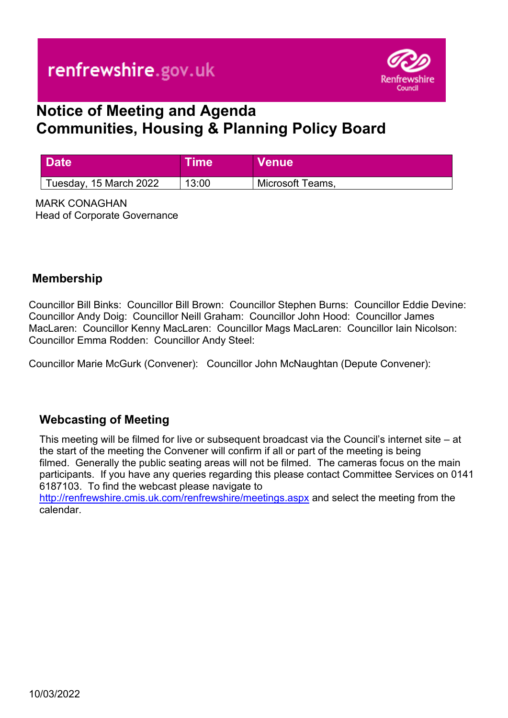

# **Notice of Meeting and Agenda Communities, Housing & Planning Policy Board**

| Date                   | <b>Time</b> | Venue <sup>l</sup> |
|------------------------|-------------|--------------------|
| Tuesday, 15 March 2022 | 13:00       | Microsoft Teams,   |

MARK CONAGHAN Head of Corporate Governance

#### **Membership**

Councillor Bill Binks: Councillor Bill Brown: Councillor Stephen Burns: Councillor Eddie Devine: Councillor Andy Doig: Councillor Neill Graham: Councillor John Hood: Councillor James MacLaren: Councillor Kenny MacLaren: Councillor Mags MacLaren: Councillor Iain Nicolson: Councillor Emma Rodden: Councillor Andy Steel:

Councillor Marie McGurk (Convener): Councillor John McNaughtan (Depute Convener):

## **Webcasting of Meeting**

This meeting will be filmed for live or subsequent broadcast via the Council's internet site – at the start of the meeting the Convener will confirm if all or part of the meeting is being filmed. Generally the public seating areas will not be filmed. The cameras focus on the main participants. If you have any queries regarding this please contact Committee Services on 0141 6187103. To find the webcast please navigate to

<http://renfrewshire.cmis.uk.com/renfrewshire/meetings.aspx>and select the meeting from the calendar.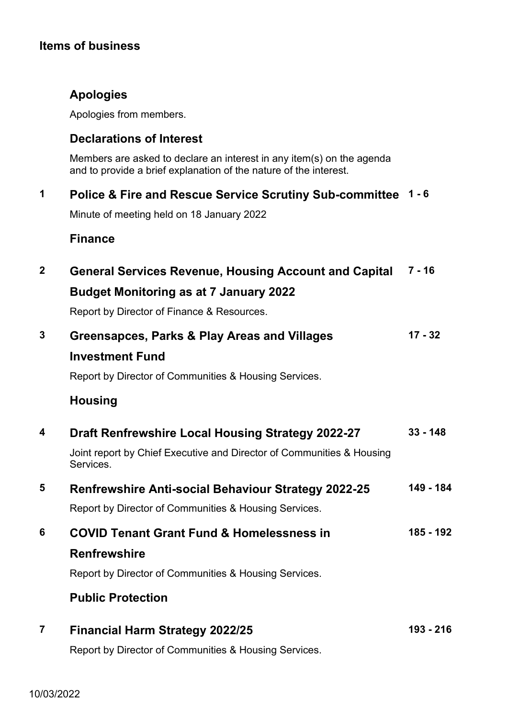# **Items of business**

# **Apologies**

Apologies from members.

## **Declarations of Interest**

Members are asked to declare an interest in any item(s) on the agenda and to provide a brief explanation of the nature of the interest.

## **1 Police & Fire and Rescue Service Scrutiny Sub-committee 1 - 6**

Minute of meeting held on 18 January 2022

## **Finance**

| $\mathbf{2}$            | <b>General Services Revenue, Housing Account and Capital</b>                       | $7 - 16$   |
|-------------------------|------------------------------------------------------------------------------------|------------|
|                         | <b>Budget Monitoring as at 7 January 2022</b>                                      |            |
|                         | Report by Director of Finance & Resources.                                         |            |
| 3                       | Greensapces, Parks & Play Areas and Villages                                       | $17 - 32$  |
|                         | <b>Investment Fund</b>                                                             |            |
|                         | Report by Director of Communities & Housing Services.                              |            |
|                         | <b>Housing</b>                                                                     |            |
| 4                       | Draft Renfrewshire Local Housing Strategy 2022-27                                  | $33 - 148$ |
|                         | Joint report by Chief Executive and Director of Communities & Housing<br>Services. |            |
| 5                       | <b>Renfrewshire Anti-social Behaviour Strategy 2022-25</b>                         | 149 - 184  |
|                         | Report by Director of Communities & Housing Services.                              |            |
| 6                       | <b>COVID Tenant Grant Fund &amp; Homelessness in</b>                               | 185 - 192  |
|                         | <b>Renfrewshire</b>                                                                |            |
|                         | Report by Director of Communities & Housing Services.                              |            |
|                         | <b>Public Protection</b>                                                           |            |
| $\overline{\mathbf{7}}$ | <b>Financial Harm Strategy 2022/25</b>                                             | 193 - 216  |
|                         | Report by Director of Communities & Housing Services.                              |            |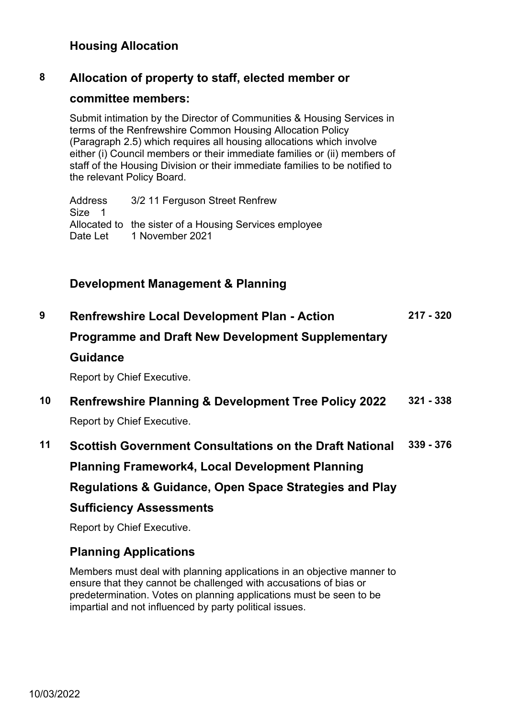## **Housing Allocation**

#### **8 Allocation of property to staff, elected member or**

#### **committee members:**

Submit intimation by the Director of Communities & Housing Services in terms of the Renfrewshire Common Housing Allocation Policy (Paragraph 2.5) which requires all housing allocations which involve either (i) Council members or their immediate families or (ii) members of staff of the Housing Division or their immediate families to be notified to the relevant Policy Board.

Address 3/2 11 Ferguson Street Renfrew Size 1 Allocated to the sister of a Housing Services employee Date Let 1 November 2021

## **Development Management & Planning**

| 9  | <b>Renfrewshire Local Development Plan - Action</b>                                                                                                                         | $217 - 320$ |
|----|-----------------------------------------------------------------------------------------------------------------------------------------------------------------------------|-------------|
|    | <b>Programme and Draft New Development Supplementary</b>                                                                                                                    |             |
|    | <b>Guidance</b>                                                                                                                                                             |             |
|    | Report by Chief Executive.                                                                                                                                                  |             |
| 10 | <b>Renfrewshire Planning &amp; Development Tree Policy 2022</b><br>Report by Chief Executive.                                                                               | $321 - 338$ |
| 11 | <b>Scottish Government Consultations on the Draft National</b><br>Planning Framework4, Local Development Planning<br>Regulations & Guidance, Open Space Strategies and Play | $339 - 376$ |
|    | <b>Sufficiency Assessments</b>                                                                                                                                              |             |
|    | Report by Chief Executive.                                                                                                                                                  |             |
|    |                                                                                                                                                                             |             |

# **Planning Applications**

Members must deal with planning applications in an objective manner to ensure that they cannot be challenged with accusations of bias or predetermination. Votes on planning applications must be seen to be impartial and not influenced by party political issues.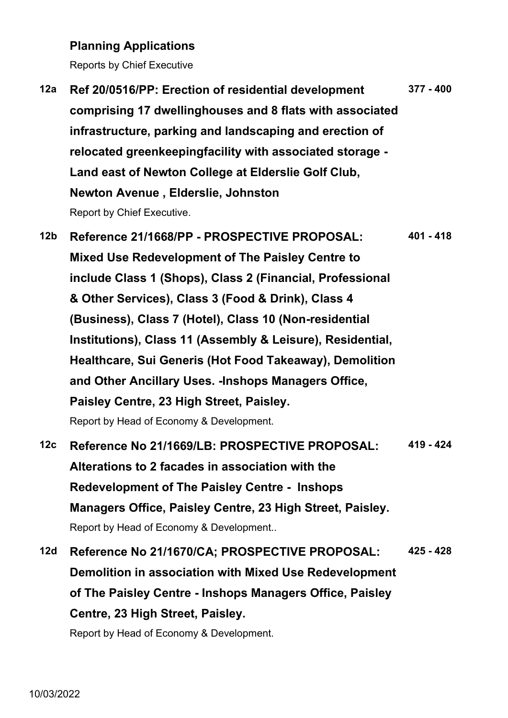#### **Planning Applications**

Reports by Chief Executive

**12a Ref 20/0516/PP: Erection of residential development comprising 17 dwellinghouses and 8 flats with associated infrastructure, parking and landscaping and erection of relocated greenkeepingfacility with associated storage - Land east of Newton College at Elderslie Golf Club, Newton Avenue , Elderslie, Johnston**  Report by Chief Executive. **377 - 400**

**12b Reference 21/1668/PP - PROSPECTIVE PROPOSAL: Mixed Use Redevelopment of The Paisley Centre to include Class 1 (Shops), Class 2 (Financial, Professional & Other Services), Class 3 (Food & Drink), Class 4 (Business), Class 7 (Hotel), Class 10 (Non-residential Institutions), Class 11 (Assembly & Leisure), Residential, Healthcare, Sui Generis (Hot Food Takeaway), Demolition and Other Ancillary Uses. -Inshops Managers Office, Paisley Centre, 23 High Street, Paisley.**  Report by Head of Economy & Development. **401 - 418 12c Reference No 21/1669/LB: PROSPECTIVE PROPOSAL: 419 - 424**

- **Alterations to 2 facades in association with the Redevelopment of The Paisley Centre - Inshops Managers Office, Paisley Centre, 23 High Street, Paisley.**  Report by Head of Economy & Development..
- **12d Reference No 21/1670/CA; PROSPECTIVE PROPOSAL: Demolition in association with Mixed Use Redevelopment of The Paisley Centre - Inshops Managers Office, Paisley Centre, 23 High Street, Paisley. 425 - 428**

Report by Head of Economy & Development.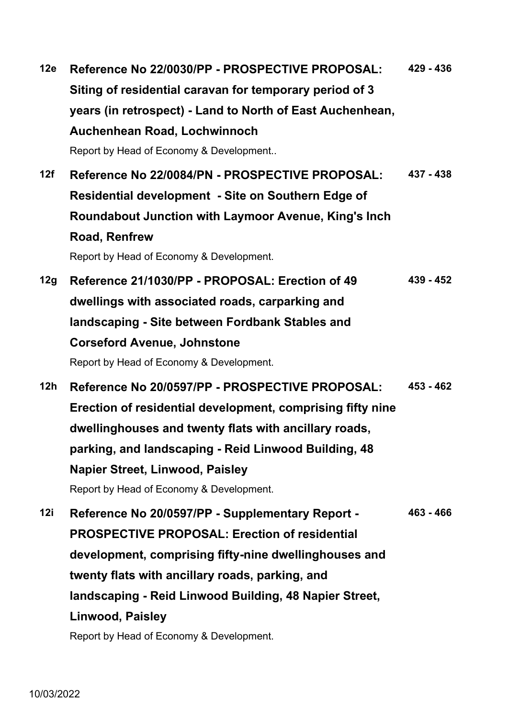**12e Reference No 22/0030/PP - PROSPECTIVE PROPOSAL: Siting of residential caravan for temporary period of 3 years (in retrospect) - Land to North of East Auchenhean, Auchenhean Road, Lochwinnoch**  Report by Head of Economy & Development.. **429 - 436 12f Reference No 22/0084/PN - PROSPECTIVE PROPOSAL: Residential development - Site on Southern Edge of Roundabout Junction with Laymoor Avenue, King's Inch Road, Renfrew**  Report by Head of Economy & Development. **437 - 438 12g Reference 21/1030/PP - PROPOSAL: Erection of 49 dwellings with associated roads, carparking and landscaping - Site between Fordbank Stables and Corseford Avenue, Johnstone**  Report by Head of Economy & Development. **439 - 452 12h Reference No 20/0597/PP - PROSPECTIVE PROPOSAL: Erection of residential development, comprising fifty nine dwellinghouses and twenty flats with ancillary roads, parking, and landscaping - Reid Linwood Building, 48 Napier Street, Linwood, Paisley**  Report by Head of Economy & Development. **453 - 462 12i Reference No 20/0597/PP - Supplementary Report - PROSPECTIVE PROPOSAL: Erection of residential development, comprising fifty-nine dwellinghouses and twenty flats with ancillary roads, parking, and landscaping - Reid Linwood Building, 48 Napier Street, Linwood, Paisley 463 - 466**

Report by Head of Economy & Development.